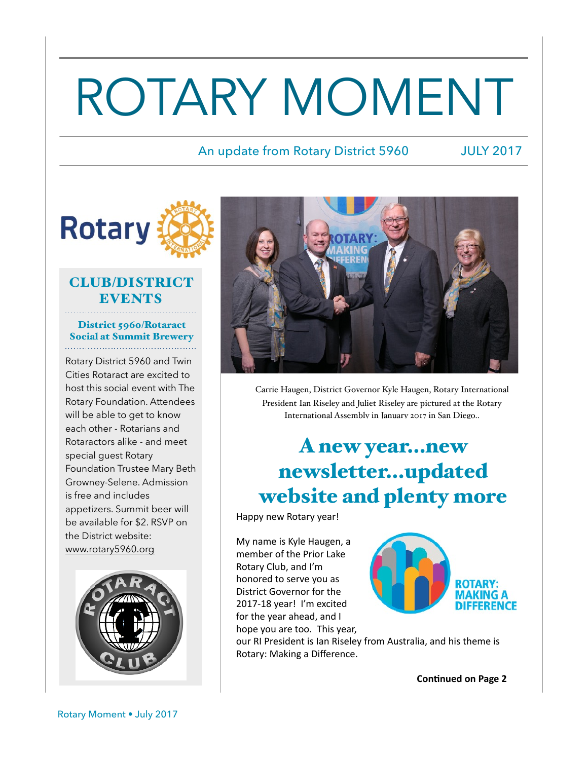# ROTARY MOMENT

## An update from Rotary District 5960 JULY 2017



## CLUB/DISTRICT **EVENTS**

#### District 5960/Rotaract Social at Summit Brewery

Rotary District 5960 and Twin Cities Rotaract are excited to host this social event with The Rotary Foundation. Attendees will be able to get to know each other - Rotarians and Rotaractors alike - and meet special guest Rotary Foundation Trustee Mary Beth Growney-Selene. Admission is free and includes appetizers. Summit beer will be available for \$2. RSVP on the District website: [www.rotary5960.org](http://www.rotary5960.org)





[Carrie Haugen,](https://www.facebook.com/carrie.voigts.1?fref=mentions) District Governor Kyle Haugen, Rotary International President Ian Riseley and Juliet Riseley are pictured at the Rotary International Assembly in January 2017 in San Diego..

# A new year…new newsletter…updated website and plenty more

Happy new Rotary year!

My name is Kyle Haugen, a member of the Prior Lake Rotary Club, and I'm honored to serve you as District Governor for the 2017-18 year! I'm excited for the year ahead, and I hope you are too. This year,



our RI President is Ian Riseley from Australia, and his theme is Rotary: Making a Difference.

**Continued on Page 2**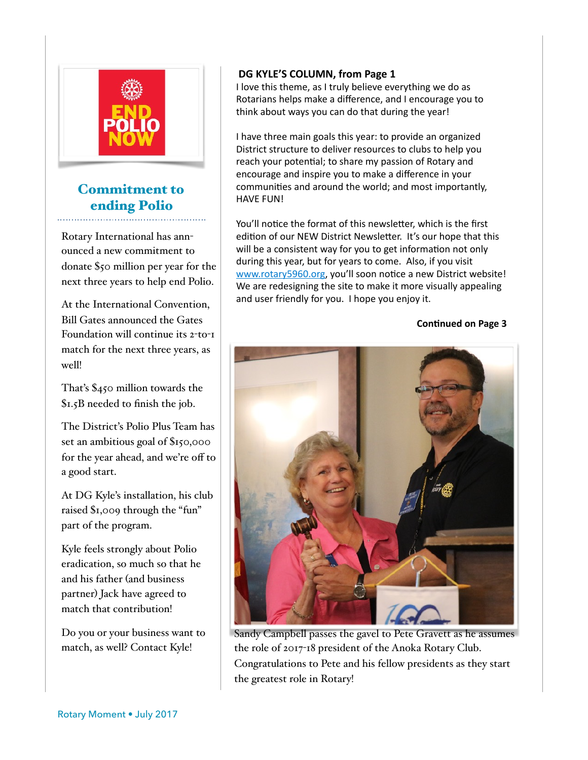

# Commitment to ending Polio

Rotary International has announced a new commitment to donate \$50 million per year for the next three years to help end Polio.

At the International Convention, Bill Gates announced the Gates Foundation will continue its 2-to-1 match for the next three years, as well!

That's \$450 million towards the \$1.5B needed to finish the job.

The District's Polio Plus Team has set an ambitious goal of \$150,000 for the year ahead, and we're off to a good start.

At DG Kyle's installation, his club raised \$1,009 through the "fun" part of the program.

Kyle feels strongly about Polio eradication, so much so that he and his father (and business partner) Jack have agreed to match that contribution!

Do you or your business want to match, as well? Contact Kyle!

#### DG KYLE'S COLUMN, from Page 1

I love this theme, as I truly believe everything we do as Rotarians helps make a difference, and I encourage you to think about ways you can do that during the year!

I have three main goals this year: to provide an organized District structure to deliver resources to clubs to help you reach your potential; to share my passion of Rotary and encourage and inspire you to make a difference in your communities and around the world; and most importantly, **HAVE FUN!** 

You'll notice the format of this newsletter, which is the first edition of our NEW District Newsletter. It's our hope that this will be a consistent way for you to get information not only during this year, but for years to come. Also, if you visit [www.rotary5960.org,](http://www.rotary5960.org) you'll soon notice a new District website! We are redesigning the site to make it more visually appealing and user friendly for you. I hope you enjoy it.

#### **Continued on Page 3**



Sandy Campbell passes the gavel to Pete Gravett as he assumes the role of 2017-18 president of the Anoka Rotary Club. Congratulations to Pete and his fellow presidents as they start the greatest role in Rotary!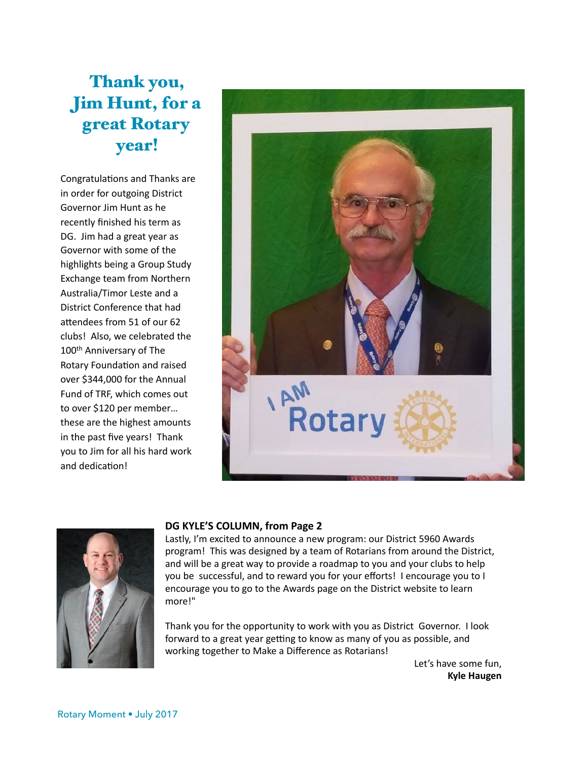# Thank you, Jim Hunt, for a great Rotary year!

Congratulations and Thanks are in order for outgoing District Governor Jim Hunt as he recently finished his term as DG. Jim had a great year as Governor with some of the highlights being a Group Study Exchange team from Northern Australia/Timor Leste and a District Conference that had attendees from 51 of our 62 clubs! Also, we celebrated the 100<sup>th</sup> Anniversary of The Rotary Foundation and raised over \$344,000 for the Annual Fund of TRF, which comes out to over \$120 per member... these are the highest amounts in the past five years! Thank you to Jim for all his hard work and dedication!





#### DG KYLE'S COLUMN, from Page 2

Lastly, I'm excited to announce a new program: our District 5960 Awards program! This was designed by a team of Rotarians from around the District, and will be a great way to provide a roadmap to you and your clubs to help you be successful, and to reward you for your efforts! I encourage you to I encourage you to go to the Awards page on the District website to learn more!" 

Thank you for the opportunity to work with you as District Governor. I look forward to a great year getting to know as many of you as possible, and working together to Make a Difference as Rotarians!

> Let's have some fun, **Kyle Haugen**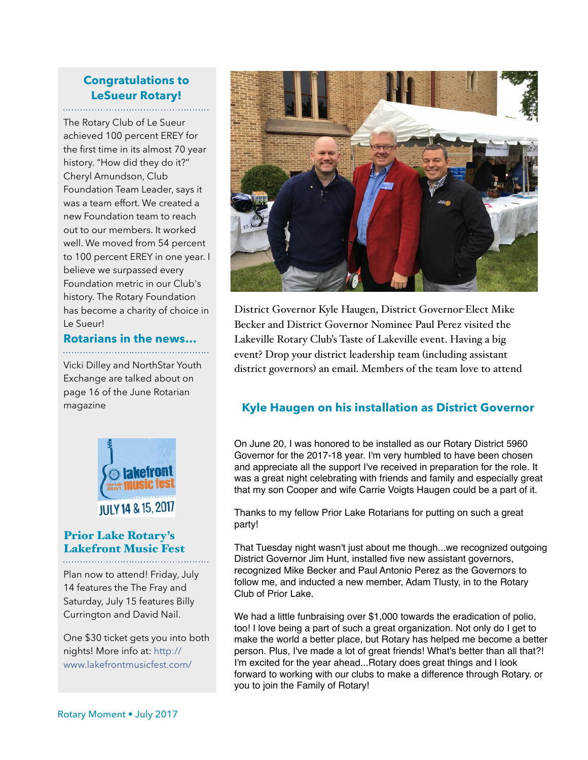# **Congratulations to LeSueur Rotary!**

The Rotary Club of Le Sueur achieved 100 percent EREY for the first time in its almost 70 year history. "How did they do it?" Cheryl Amundson, Club Foundation Team Leader, says it was a team effort. We created a new Foundation team to reach out to our members. It worked well. We moved from 54 percent to 100 percent EREY in one year. I believe we surpassed every Foundation metric in our Club's history. The Rotary Foundation has become a charity of choice in Le Sueur!

#### **Rotarians in the news…**

Vicki Dilley and NorthStar Youth Exchange are talked about on page 16 of the June Rotarian magazine



### Prior Lake Rotary's Lakefront Music Fest

Plan now to attend! Friday, July 14 features the The Fray and Saturday, July 15 features Billy Currington and David Nail.

One \$30 ticket gets you into both nights! More info at: [http://](http://www.lakefrontmusicfest.com/) [www.lakefrontmusicfest.com/](http://www.lakefrontmusicfest.com/)



District Governor Kyle Haugen, District Governor-Elect Mike Becker and District Governor Nominee Paul Perez visited the Lakeville Rotary Club's Taste of Lakeville event. Having a big event? Drop your district leadership team (including assistant district governors) an email. Members of the team love to attend

# **Kyle Haugen on his installation as District Governor**

On June 20, I was honored to be installed as our Rotary District 5960 Governor for the 2017-18 year. I'm very humbled to have been chosen and appreciate all the support I've received in preparation for the role. It was a great night celebrating with friends and family and especially great that my son Cooper and wife [Carrie Voigts Haugen](https://www.facebook.com/carrie.voigts.1?fref=mentions) could be a part of it.

Thanks to my fellow Prior Lake Rotarians for putting on such a great party!

That Tuesday night wasn't just about me though...we recognized outgoing District Governor [Jim Hunt](https://www.facebook.com/profile.php?id=100007881345771&fref=mentions), installed five new assistant governors, recognized [Mike Becker](https://www.facebook.com/mike.becker.18?fref=mentions) and [Paul Antonio Perez](https://www.facebook.com/paul.perez.7355?fref=mentions) as the Governors to follow me, and inducted a new member, [Adam Tlusty,](https://www.facebook.com/adamtlusty?fref=mentions) in to the Rotary Club of Prior Lake.

We had a little funbraising over \$1,000 towards the eradication of polio, too! I love being a part of such a great organization. Not only do I get to make the world a better place, but Rotary has helped me become a better person. Plus, I've made a lot of great friends! What's better than all that?! I'm excited for the year ahead...Rotary does great things and I look forward to working with our clubs to make a difference through Rotary. or you to join the Family of Rotary!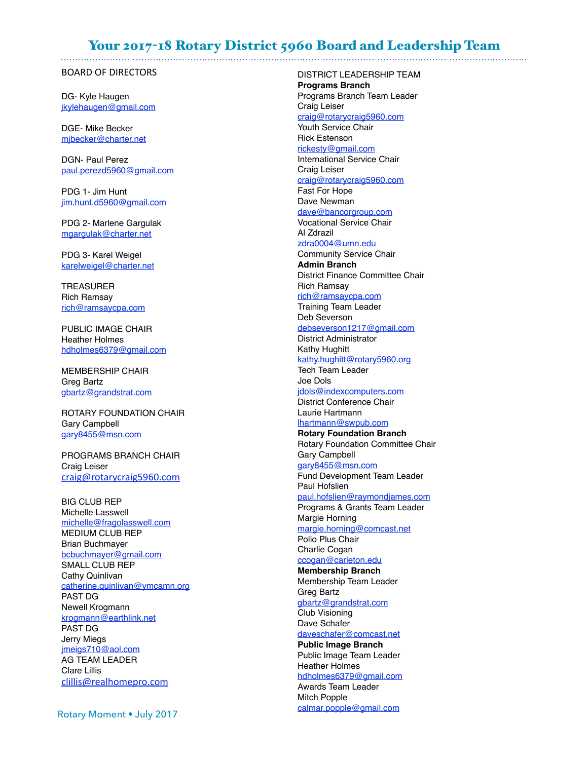# Your 2017-18 Rotary District 5960 Board and Leadership Team

#### BOARD OF DIRECTORS

DG- Kyle Haugen [jkylehaugen@gmail.com](mailto:jkylehaugen@gmail.com)

DGE- Mike Becker mjbecker@charter.net

DGN- Paul Perez [paul.perezd5960@gmail.com](mailto:paul.perezd5960@gmail.com)

PDG 1- Jim Hunt [jim.hunt.d5960@gmail.com](mailto:jim.hunt.d5960@gmail.com)

PDG 2- Marlene Gargulak [mgargulak@charter.net](mailto:mgargulak@charter.net)

PDG 3- Karel Weigel [karelweigel@charter.net](mailto:karelweigel@charter.net)

TREASURER Rich Ramsay [rich@ramsaycpa.com](mailto:rich@ramsaycpa.com)

PUBLIC IMAGE CHAIR Heather Holmes [hdholmes6379@gmail.com](mailto:hdholmes6379@gmail.com)

MEMBERSHIP CHAIR Greg Bartz [gbartz@grandstrat.com](mailto:gbartz@grandstrat.com)

ROTARY FOUNDATION CHAIR Gary Campbell [gary8455@msn.com](mailto:gary8455@msn.com)

PROGRAMS BRANCH CHAIR Craig Leiser [craig@rotarycraig5960.com](mailto:craig@rotarycraig5960.com)

BIG CLUB REP Michelle Lasswell michelle@fragolasswell.com MEDIUM CLUB REP Brian Buchmayer bcbuchmayer@gmail.com SMALL CLUB REP Cathy Quinlivan catherine.quinlivan@ymcamn.org PAST DG Newell Krogmann krogmann@earthlink.net PAST DG Jerry Miegs jmeigs710@aol.com AG TEAM LEADER Clare Lillis clillis@realhomepro.com 

**Programs Branch** Programs Branch Team Leader Craig Leiser craig@rotarycraig5960.com Youth Service Chair Rick Estenson rickesty@gmail.com International Service Chair Craig Leiser craig@rotarycraig5960.com Fast For Hope Dave Newman dave@bancorgroup.com Vocational Service Chair Al Zdrazil zdra0004@umn.edu Community Service Chair **Admin Branch** District Finance Committee Chair Rich Ramsay rich@ramsaycpa.com Training Team Leader Deb Severson debseverson1217@gmail.com District Administrator Kathy Hughitt kathy.hughitt@rotary5960.org Tech Team Leader Joe Dols jdols@indexcomputers.com District Conference Chair Laurie Hartmann lhartmann@swpub.com **Rotary Foundation Branch** Rotary Foundation Committee Chair Gary Campbell gary8455@msn.com Fund Development Team Leader Paul Hofslien paul.hofslien@raymondjames.com Programs & Grants Team Leader Margie Horning margie.horning@comcast.net Polio Plus Chair Charlie Cogan [ccogan@carleton.edu](mailto:ccogan@carleton.edu) **Membership Branch** Membership Team Leader Greg Bartz gbartz@grandstrat.com Club Visioning Dave Schafer daveschafer@comcast.net **Public Image Branch** Public Image Team Leader Heather Holmes hdholmes6379@gmail.com Awards Team Leader

Mitch Popple

calmar.popple@gmail.com

DISTRICT LEADERSHIP TEAM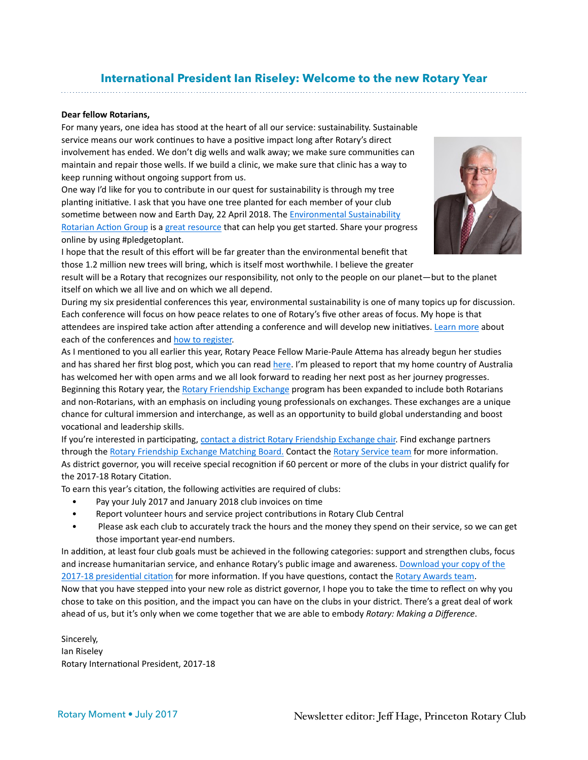## **International President Ian Riseley: Welcome to the new Rotary Year**

#### Dear fellow Rotarians.

For many years, one idea has stood at the heart of all our service: sustainability. Sustainable service means our work continues to have a positive impact long after Rotary's direct involvement has ended. We don't dig wells and walk away; we make sure communities can maintain and repair those wells. If we build a clinic, we make sure that clinic has a way to keep running without ongoing support from us.

One way I'd like for you to contribute in our quest for sustainability is through my tree planting initiative. I ask that you have one tree planted for each member of your club sometime between now and Earth Day, 22 April 2018. The Environmental Sustainability Rotarian Action Group is a great resource that can help you get started. Share your progress online by using #pledgetoplant.



I hope that the result of this effort will be far greater than the environmental benefit that those 1.2 million new trees will bring, which is itself most worthwhile. I believe the greater

result will be a Rotary that recognizes our responsibility, not only to the people on our planet—but to the planet itself on which we all live and on which we all depend.

During my six presidential conferences this year, environmental sustainability is one of many topics up for discussion. Each conference will focus on how peace relates to one of Rotary's five other areas of focus. My hope is that attendees are inspired take action after attending a conference and will develop new initiatives. Learn more about each of the conferences and how to register.

As I mentioned to you all earlier this year, Rotary Peace Fellow Marie-Paule Attema has already begun her studies and has shared her first blog post, which you can read here. I'm pleased to report that my home country of Australia has welcomed her with open arms and we all look forward to reading her next post as her journey progresses. Beginning this Rotary year, the Rotary Friendship Exchange program has been expanded to include both Rotarians and non-Rotarians, with an emphasis on including young professionals on exchanges. These exchanges are a unique chance for cultural immersion and interchange, as well as an opportunity to build global understanding and boost vocational and leadership skills.

If you're interested in participating, contact a district Rotary Friendship Exchange chair. Find exchange partners through the Rotary Friendship Exchange Matching Board. Contact the Rotary Service team for more information. As district governor, you will receive special recognition if 60 percent or more of the clubs in your district qualify for the 2017-18 Rotary Citation.

To earn this year's citation, the following activities are required of clubs:

- Pay your July 2017 and January 2018 club invoices on time
- Report volunteer hours and service project contributions in Rotary Club Central
- Please ask each club to accurately track the hours and the money they spend on their service, so we can get those important year-end numbers.

In addition, at least four club goals must be achieved in the following categories: support and strengthen clubs, focus and increase humanitarian service, and enhance Rotary's public image and awareness. Download your copy of the 2017-18 presidential citation for more information. If you have questions, contact the Rotary Awards team. Now that you have stepped into your new role as district governor, I hope you to take the time to reflect on why you chose to take on this position, and the impact you can have on the clubs in your district. There's a great deal of work ahead of us, but it's only when we come together that we are able to embody *Rotary: Making a Difference*.

Sincerely, Ian Riseley Rotary International President, 2017-18